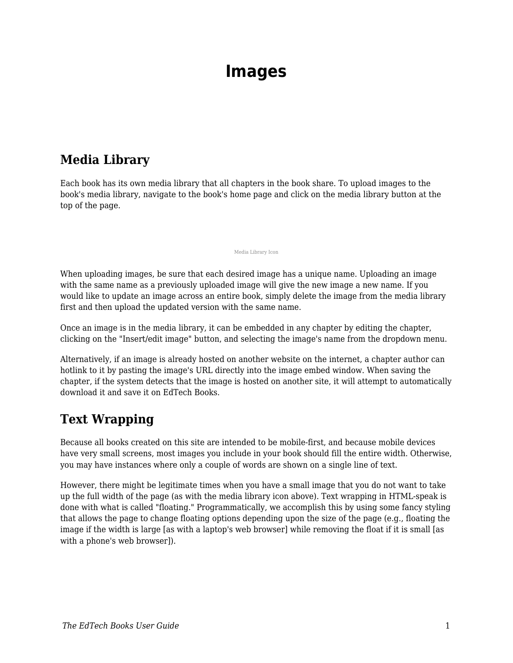# **Images**

#### **Media Library**

Each book has its own media library that all chapters in the book share. To upload images to the book's media library, navigate to the book's home page and click on the media library button at the top of the page.

Media Library Icon

When uploading images, be sure that each desired image has a unique name. Uploading an image with the same name as a previously uploaded image will give the new image a new name. If you would like to update an image across an entire book, simply delete the image from the media library first and then upload the updated version with the same name.

Once an image is in the media library, it can be embedded in any chapter by editing the chapter, clicking on the "Insert/edit image" button, and selecting the image's name from the dropdown menu.

Alternatively, if an image is already hosted on another website on the internet, a chapter author can hotlink to it by pasting the image's URL directly into the image embed window. When saving the chapter, if the system detects that the image is hosted on another site, it will attempt to automatically download it and save it on EdTech Books.

# **Text Wrapping**

Because all books created on this site are intended to be mobile-first, and because mobile devices have very small screens, most images you include in your book should fill the entire width. Otherwise, you may have instances where only a couple of words are shown on a single line of text.

However, there might be legitimate times when you have a small image that you do not want to take up the full width of the page (as with the media library icon above). Text wrapping in HTML-speak is done with what is called "floating." Programmatically, we accomplish this by using some fancy styling that allows the page to change floating options depending upon the size of the page (e.g., floating the image if the width is large [as with a laptop's web browser] while removing the float if it is small [as with a phone's web browser]).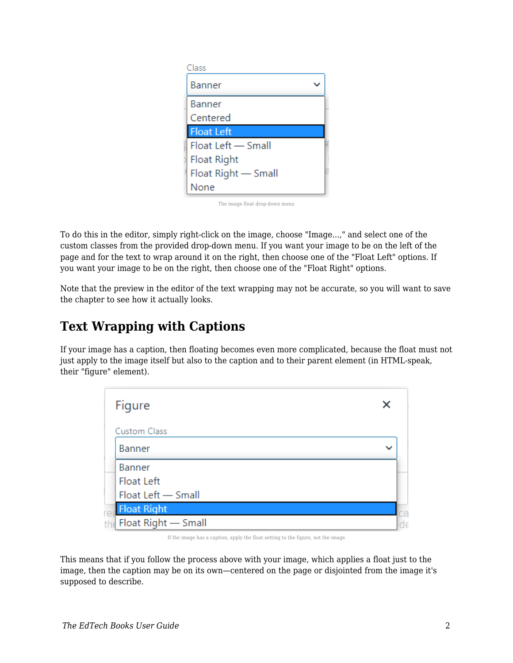| Class               |  |
|---------------------|--|
| <b>Banner</b>       |  |
| Banner              |  |
| Centered            |  |
| <b>Float Left</b>   |  |
| Float Left - Small  |  |
| <b>Float Right</b>  |  |
| Float Right - Small |  |
| None                |  |

The image float drop-down menu

To do this in the editor, simply right-click on the image, choose "Image...," and select one of the custom classes from the provided drop-down menu. If you want your image to be on the left of the page and for the text to wrap around it on the right, then choose one of the "Float Left" options. If you want your image to be on the right, then choose one of the "Float Right" options.

Note that the preview in the editor of the text wrapping may not be accurate, so you will want to save the chapter to see how it actually looks.

### **Text Wrapping with Captions**

If your image has a caption, then floating becomes even more complicated, because the float must not just apply to the image itself but also to the caption and to their parent element (in HTML-speak, their "figure" element).



If the image has a caption, apply the float setting to the figure, not the image

This means that if you follow the process above with your image, which applies a float just to the image, then the caption may be on its own—centered on the page or disjointed from the image it's supposed to describe.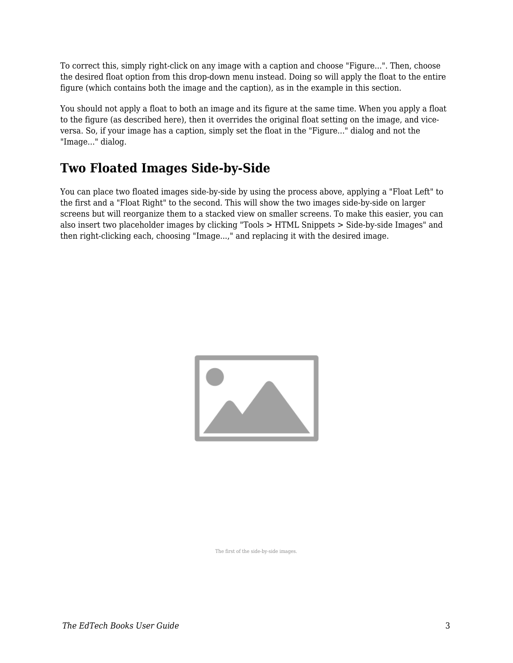To correct this, simply right-click on any image with a caption and choose "Figure...". Then, choose the desired float option from this drop-down menu instead. Doing so will apply the float to the entire figure (which contains both the image and the caption), as in the example in this section.

You should not apply a float to both an image and its figure at the same time. When you apply a float to the figure (as described here), then it overrides the original float setting on the image, and viceversa. So, if your image has a caption, simply set the float in the "Figure..." dialog and not the "Image..." dialog.

## **Two Floated Images Side-by-Side**

You can place two floated images side-by-side by using the process above, applying a "Float Left" to the first and a "Float Right" to the second. This will show the two images side-by-side on larger screens but will reorganize them to a stacked view on smaller screens. To make this easier, you can also insert two placeholder images by clicking "Tools > HTML Snippets > Side-by-side Images" and then right-clicking each, choosing "Image...," and replacing it with the desired image.



The first of the side-by-side images.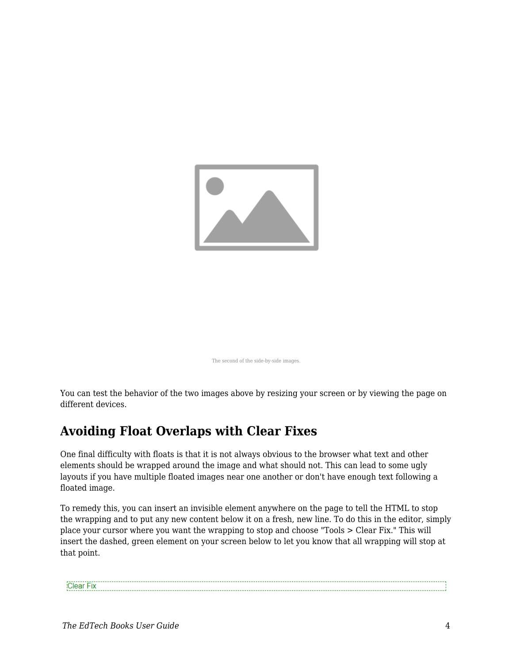

The second of the side-by-side images.

You can test the behavior of the two images above by resizing your screen or by viewing the page on different devices.

#### **Avoiding Float Overlaps with Clear Fixes**

One final difficulty with floats is that it is not always obvious to the browser what text and other elements should be wrapped around the image and what should not. This can lead to some ugly layouts if you have multiple floated images near one another or don't have enough text following a floated image.

To remedy this, you can insert an invisible element anywhere on the page to tell the HTML to stop the wrapping and to put any new content below it on a fresh, new line. To do this in the editor, simply place your cursor where you want the wrapping to stop and choose "Tools > Clear Fix." This will insert the dashed, green element on your screen below to let you know that all wrapping will stop at that point.

Clear Fix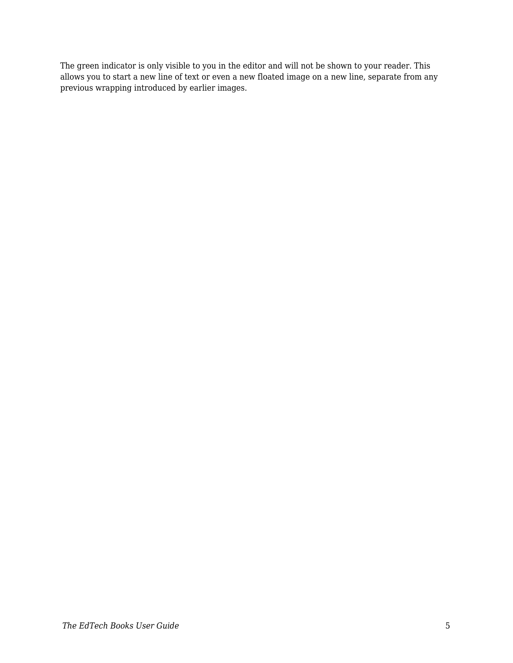The green indicator is only visible to you in the editor and will not be shown to your reader. This allows you to start a new line of text or even a new floated image on a new line, separate from any previous wrapping introduced by earlier images.